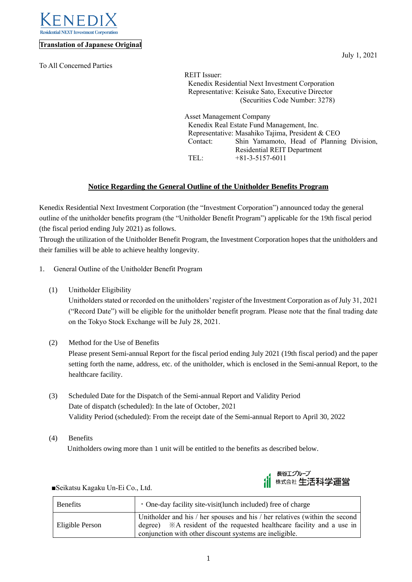

#### **Translation of Japanese Original**

To All Concerned Parties

July 1, 2021

REIT Issuer: Kenedix Residential Next Investment Corporation Representative: Keisuke Sato, Executive Director (Securities Code Number: 3278)

Asset Management Company Kenedix Real Estate Fund Management, Inc. Representative: Masahiko Tajima, President & CEO Contact: Shin Yamamoto, Head of Planning Division, Residential REIT Department TEL: +81-3-5157-6011

# **Notice Regarding the General Outline of the Unitholder Benefits Program**

Kenedix Residential Next Investment Corporation (the "Investment Corporation") announced today the general outline of the unitholder benefits program (the "Unitholder Benefit Program") applicable for the 19th fiscal period (the fiscal period ending July 2021) as follows.

Through the utilization of the Unitholder Benefit Program, the Investment Corporation hopes that the unitholders and their families will be able to achieve healthy longevity.

- 1. General Outline of the Unitholder Benefit Program
	- (1) Unitholder Eligibility

Unitholders stated or recorded on the unitholders' register of the Investment Corporation as of July 31, 2021 ("Record Date") will be eligible for the unitholder benefit program. Please note that the final trading date on the Tokyo Stock Exchange will be July 28, 2021.

(2) Method for the Use of Benefits

Please present Semi-annual Report for the fiscal period ending July 2021 (19th fiscal period) and the paper setting forth the name, address, etc. of the unitholder, which is enclosed in the Semi-annual Report, to the healthcare facility.

- (3) Scheduled Date for the Dispatch of the Semi-annual Report and Validity Period Date of dispatch (scheduled): In the late of October, 2021 Validity Period (scheduled): From the receipt date of the Semi-annual Report to April 30, 2022
- (4) Benefits Unitholders owing more than 1 unit will be entitled to the benefits as described below.



■Seikatsu Kagaku Un-Ei Co., Ltd.

| <b>Benefits</b> | $\cdot$ One-day facility site-visit(lunch included) free of charge                                                                                                                                                          |
|-----------------|-----------------------------------------------------------------------------------------------------------------------------------------------------------------------------------------------------------------------------|
| Eligible Person | Unitholder and his / her spouses and his / her relatives (within the second<br>degree) $\mathbb{X}$ A resident of the requested healthcare facility and a use in<br>conjunction with other discount systems are ineligible. |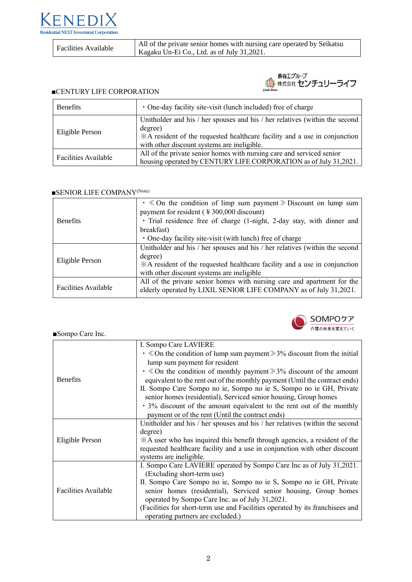

Facilities Available All of the private senior homes with nursing care operated by Seikatsu Kagaku Un-Ei Co., Ltd. as of July 31,2021.



#### ■CENTURY LIFE CORPORATION

| <b>Benefits</b>      | • One-day facility site-visit (lunch included) free of charge                                                                                                                                                      |
|----------------------|--------------------------------------------------------------------------------------------------------------------------------------------------------------------------------------------------------------------|
| Eligible Person      | Unitholder and his / her spouses and his / her relatives (within the second<br>degree)<br>*A resident of the requested healthcare facility and a use in conjunction<br>with other discount systems are ineligible. |
| Facilities Available | All of the private senior homes with nursing care and serviced senior<br>housing operated by CENTURY LIFE CORPORATION as of July 31,2021.                                                                          |

#### ■SENIOR LIFE COMPANY<sup>(Note)</sup>

| <b>Benefits</b>      | $\cdot \ll 0$ the condition of limp sum payment $\gg$ Discount on lump sum<br>payment for resident ( $\frac{4}{300,000}$ discount)           |
|----------------------|----------------------------------------------------------------------------------------------------------------------------------------------|
|                      | · Trial residence free of charge (1-night, 2-day stay, with dinner and                                                                       |
|                      | breakfast)                                                                                                                                   |
|                      | • One-day facility site-visit (with lunch) free of charge                                                                                    |
| Eligible Person      | Unitholder and his / her spouses and his / her relatives (within the second                                                                  |
|                      | degree)                                                                                                                                      |
|                      | *A resident of the requested healthcare facility and a use in conjunction                                                                    |
|                      | with other discount systems are ineligible                                                                                                   |
| Facilities Available | All of the private senior homes with nursing care and apartment for the<br>elderly operated by LIXIL SENIOR LIFE COMPANY as of July 31,2021. |



## ■Sompo Care Inc.

|                             | I. Sompo Care LAVIERE                                                               |
|-----------------------------|-------------------------------------------------------------------------------------|
| <b>Benefits</b>             | $\cdot \ll 0$ the condition of lump sum payment $\gg 3\%$ discount from the initial |
|                             | lump sum payment for resident                                                       |
|                             | $\cdot$ $\&$ On the condition of monthly payment $\&$ 3% discount of the amount     |
|                             | equivalent to the rent out of the monthly payment (Until the contract ends)         |
|                             | II. Sompo Care Sompo no ie, Sompo no ie S, Sompo no ie GH, Private                  |
|                             | senior homes (residential), Serviced senior housing, Group homes                    |
|                             | • 3% discount of the amount equivalent to the rent out of the monthly               |
|                             | payment or of the rent (Until the contract ends)                                    |
|                             | Unitholder and his / her spouses and his / her relatives (within the second         |
| Eligible Person             | degree)                                                                             |
|                             | $\angle A$ user who has inquired this benefit through agencies, a resident of the   |
|                             | requested healthcare facility and a use in conjunction with other discount          |
|                             | systems are ineligible.                                                             |
|                             | I. Sompo Care LAVIERE operated by Sompo Care Inc as of July 31,2021.                |
| <b>Facilities Available</b> | (Excluding short-term use)                                                          |
|                             | II. Sompo Care Sompo no ie, Sompo no ie S, Sompo no ie GH, Private                  |
|                             | senior homes (residential), Serviced senior housing, Group homes                    |
|                             | operated by Sompo Care Inc. as of July 31,2021.                                     |
|                             | (Facilities for short-term use and Facilities operated by its franchisees and       |
|                             | operating partners are excluded.)                                                   |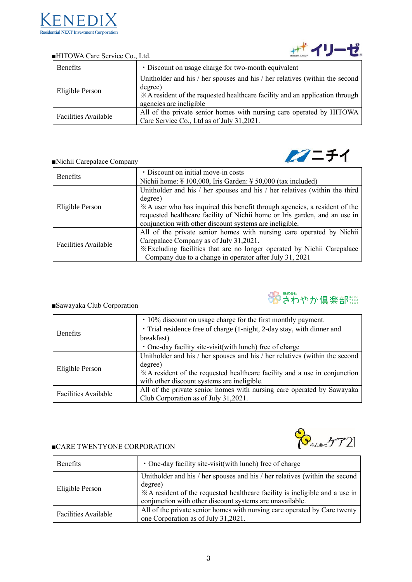

| <b>Benefits</b>      | • Discount on usage charge for two-month equivalent                                                               |
|----------------------|-------------------------------------------------------------------------------------------------------------------|
| Eligible Person      | Unitholder and his / her spouses and his / her relatives (within the second<br>degree)                            |
|                      | *A resident of the requested healthcare facility and an application through<br>agencies are ineligible            |
| Facilities Available | All of the private senior homes with nursing care operated by HITOWA<br>Care Service Co., Ltd as of July 31,2021. |

#### ■HITOWA Care Service Co., Ltd.

## ■Nichii Carepalace Company

| <b>Benefits</b>             | · Discount on initial move-in costs                                                  |
|-----------------------------|--------------------------------------------------------------------------------------|
|                             |                                                                                      |
|                             | Nichii home: $\frac{1}{2}$ 100,000, Iris Garden: $\frac{1}{2}$ 50,000 (tax included) |
| Eligible Person             | Unitholder and his / her spouses and his / her relatives (within the third           |
|                             | degree)                                                                              |
|                             | *A user who has inquired this benefit through agencies, a resident of the            |
|                             | requested healthcare facility of Nichii home or Iris garden, and an use in           |
|                             | conjunction with other discount systems are ineligible.                              |
| <b>Facilities Available</b> | All of the private senior homes with nursing care operated by Nichii                 |
|                             | Carepalace Company as of July 31,2021.                                               |
|                             | *Excluding facilities that are no longer operated by Nichii Carepalace               |
|                             | Company due to a change in operator after July 31, 2021                              |



## ■Sawayaka Club Corporation

| <b>Benefits</b>      | $\cdot$ 10% discount on usage charge for the first monthly payment.         |
|----------------------|-----------------------------------------------------------------------------|
|                      | · Trial residence free of charge (1-night, 2-day stay, with dinner and      |
|                      | breakfast)                                                                  |
|                      | • One-day facility site-visit(with lunch) free of charge                    |
| Eligible Person      | Unitholder and his / her spouses and his / her relatives (within the second |
|                      | degree)                                                                     |
|                      | *A resident of the requested healthcare facility and a use in conjunction   |
|                      | with other discount systems are ineligible.                                 |
| Facilities Available | All of the private senior homes with nursing care operated by Sawayaka      |
|                      | Club Corporation as of July 31,2021.                                        |

#### ■CARE TWENTYONE CORPORATION



| <b>Benefits</b>      | • One-day facility site-visit(with lunch) free of charge                                                                                                                                                                          |
|----------------------|-----------------------------------------------------------------------------------------------------------------------------------------------------------------------------------------------------------------------------------|
| Eligible Person      | Unitholder and his / her spouses and his / her relatives (within the second<br>degree)<br>*A resident of the requested healthcare facility is ineligible and a use in<br>conjunction with other discount systems are unavailable. |
| Facilities Available | All of the private senior homes with nursing care operated by Care twenty<br>one Corporation as of July 31,2021.                                                                                                                  |



 $22 - 51$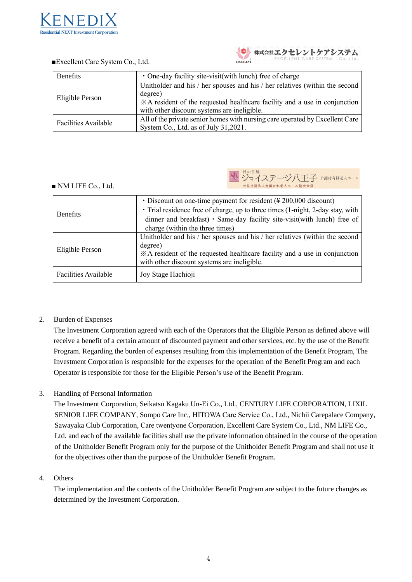

| <b>Benefits</b>      | • One-day facility site-visit(with lunch) free of charge                                                                                                                                                           |
|----------------------|--------------------------------------------------------------------------------------------------------------------------------------------------------------------------------------------------------------------|
| Eligible Person      | Unitholder and his / her spouses and his / her relatives (within the second<br>degree)<br>*A resident of the requested healthcare facility and a use in conjunction<br>with other discount systems are ineligible. |
| Facilities Available | All of the private senior homes with nursing care operated by Excellent Care<br>System Co., Ltd. as of July 31,2021.                                                                                               |

### ■Excellent Care System Co., Ltd.

## ■ NM LIFE Co., Ltd.

ジョイステージ八王子 介護付有料老人ホーム **△ 益社団法人全国有料老人ホーム協会会員** 

| <b>Benefits</b>      | $\cdot$ Discount on one-time payment for resident (¥ 200,000 discount)<br>· Trial residence free of charge, up to three times (1-night, 2-day stay, with |
|----------------------|----------------------------------------------------------------------------------------------------------------------------------------------------------|
|                      |                                                                                                                                                          |
|                      | dinner and breakfast) · Same-day facility site-visit(with lunch) free of                                                                                 |
|                      | charge (within the three times)                                                                                                                          |
| Eligible Person      | Unitholder and his / her spouses and his / her relatives (within the second                                                                              |
|                      | degree)                                                                                                                                                  |
|                      | *A resident of the requested healthcare facility and a use in conjunction                                                                                |
|                      | with other discount systems are ineligible.                                                                                                              |
| Facilities Available | Joy Stage Hachioji                                                                                                                                       |

# 2. Burden of Expenses

The Investment Corporation agreed with each of the Operators that the Eligible Person as defined above will receive a benefit of a certain amount of discounted payment and other services, etc. by the use of the Benefit Program. Regarding the burden of expenses resulting from this implementation of the Benefit Program, The Investment Corporation is responsible for the expenses for the operation of the Benefit Program and each Operator is responsible for those for the Eligible Person's use of the Benefit Program.

# 3. Handling of Personal Information

 The Investment Corporation, Seikatsu Kagaku Un-Ei Co., Ltd., CENTURY LIFE CORPORATION, LIXIL SENIOR LIFE COMPANY, Sompo Care Inc., HITOWA Care Service Co., Ltd., Nichii Carepalace Company, Sawayaka Club Corporation, Care twentyone Corporation, Excellent Care System Co., Ltd., NM LIFE Co., Ltd. and each of the available facilities shall use the private information obtained in the course of the operation of the Unitholder Benefit Program only for the purpose of the Unitholder Benefit Program and shall not use it for the objectives other than the purpose of the Unitholder Benefit Program.

# 4. Others

The implementation and the contents of the Unitholder Benefit Program are subject to the future changes as determined by the Investment Corporation.